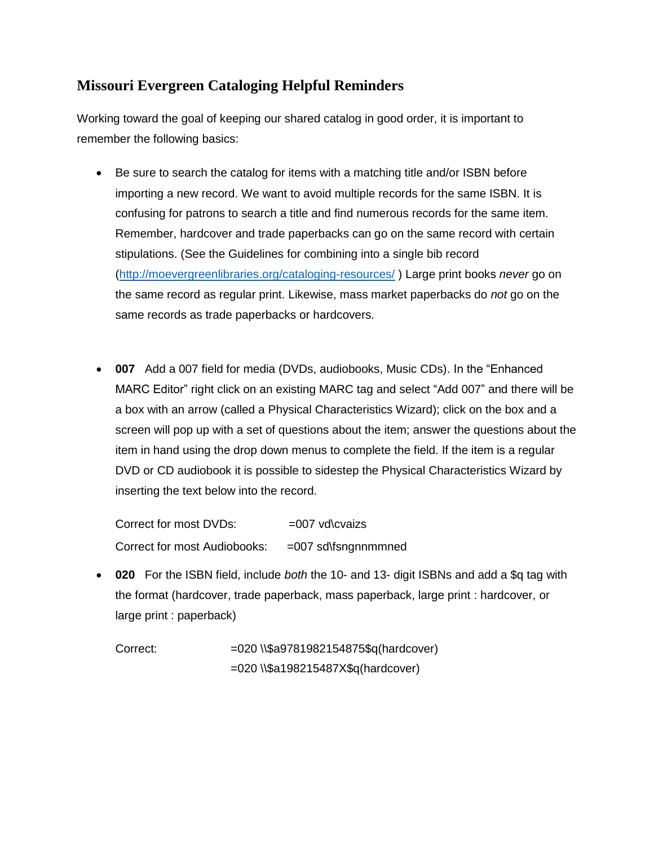## **Missouri Evergreen Cataloging Helpful Reminders**

Working toward the goal of keeping our shared catalog in good order, it is important to remember the following basics:

- Be sure to search the catalog for items with a matching title and/or ISBN before importing a new record. We want to avoid multiple records for the same ISBN. It is confusing for patrons to search a title and find numerous records for the same item. Remember, hardcover and trade paperbacks can go on the same record with certain stipulations. (See the Guidelines for combining into a single bib record [\(http://moevergreenlibraries.org/cataloging-resources/](http://moevergreenlibraries.org/cataloging-resources/) ) Large print books *never* go on the same record as regular print. Likewise, mass market paperbacks do *not* go on the same records as trade paperbacks or hardcovers.
- **007** Add a 007 field for media (DVDs, audiobooks, Music CDs). In the "Enhanced MARC Editor" right click on an existing MARC tag and select "Add 007" and there will be a box with an arrow (called a Physical Characteristics Wizard); click on the box and a screen will pop up with a set of questions about the item; answer the questions about the item in hand using the drop down menus to complete the field. If the item is a regular DVD or CD audiobook it is possible to sidestep the Physical Characteristics Wizard by inserting the text below into the record.

Correct for most DVDs:  $=007$  vd\cvaizs Correct for most Audiobooks: = =007 sd\fsngnnmmned

 **020** For the ISBN field, include *both* the 10- and 13- digit ISBNs and add a \$q tag with the format (hardcover, trade paperback, mass paperback, large print : hardcover, or large print : paperback)

Correct: =020 \\\$a9781982154875\$q(hardcover) =020 \\\$a198215487X\$q(hardcover)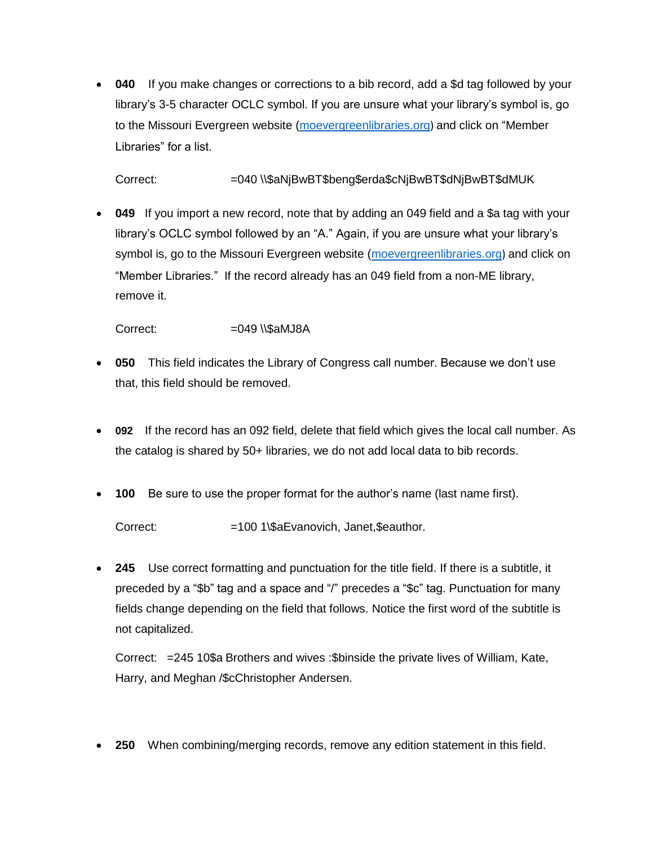**040** If you make changes or corrections to a bib record, add a \$d tag followed by your library's 3-5 character OCLC symbol. If you are unsure what your library's symbol is, go to the Missouri Evergreen website [\(moevergreenlibraries.org](http://moevergreenlibraries.org/)) and click on "Member Libraries" for a list.

Correct: =040 \\\$aNjBwBT\$beng\$erda\$cNjBwBT\$dNjBwBT\$dMUK

 **049** If you import a new record, note that by adding an 049 field and a \$a tag with your library's OCLC symbol followed by an "A." Again, if you are unsure what your library's symbol is, go to the Missouri Evergreen website [\(moevergreenlibraries.org](http://moevergreenlibraries.org/)) and click on "Member Libraries." If the record already has an 049 field from a non-ME library, remove it.

 $Correct: =049 \text{ }\&\text{aMJ8A}$ 

- **050** This field indicates the Library of Congress call number. Because we don't use that, this field should be removed.
- **092** If the record has an 092 field, delete that field which gives the local call number. As the catalog is shared by 50+ libraries, we do not add local data to bib records.
- **100** Be sure to use the proper format for the author's name (last name first).

Correct: =100 1\\$aEvanovich, Janet,\$eauthor.

 **245** Use correct formatting and punctuation for the title field. If there is a subtitle, it preceded by a "\$b" tag and a space and "/" precedes a "\$c" tag. Punctuation for many fields change depending on the field that follows. Notice the first word of the subtitle is not capitalized.

Correct: =245 10\$a Brothers and wives :\$binside the private lives of William, Kate, Harry, and Meghan /\$cChristopher Andersen.

**250** When combining/merging records, remove any edition statement in this field.